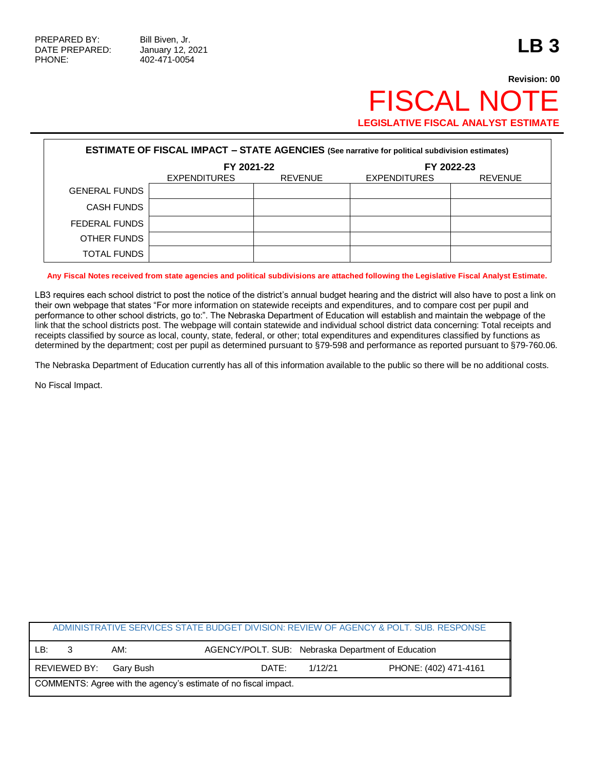## **Revision: 00 FISCAL NOT LEGISLATIVE FISCAL ANALYST ESTIMATE**

| <b>ESTIMATE OF FISCAL IMPACT - STATE AGENCIES (See narrative for political subdivision estimates)</b> |                     |                |                     |                |  |
|-------------------------------------------------------------------------------------------------------|---------------------|----------------|---------------------|----------------|--|
|                                                                                                       | FY 2021-22          |                | FY 2022-23          |                |  |
|                                                                                                       | <b>EXPENDITURES</b> | <b>REVENUE</b> | <b>EXPENDITURES</b> | <b>REVENUE</b> |  |
| <b>GENERAL FUNDS</b>                                                                                  |                     |                |                     |                |  |
| <b>CASH FUNDS</b>                                                                                     |                     |                |                     |                |  |
| FEDERAL FUNDS                                                                                         |                     |                |                     |                |  |
| OTHER FUNDS                                                                                           |                     |                |                     |                |  |
| TOTAL FUNDS                                                                                           |                     |                |                     |                |  |

**Any Fiscal Notes received from state agencies and political subdivisions are attached following the Legislative Fiscal Analyst Estimate.**

LB3 requires each school district to post the notice of the district's annual budget hearing and the district will also have to post a link on their own webpage that states "For more information on statewide receipts and expenditures, and to compare cost per pupil and performance to other school districts, go to:". The Nebraska Department of Education will establish and maintain the webpage of the link that the school districts post. The webpage will contain statewide and individual school district data concerning: Total receipts and receipts classified by source as local, county, state, federal, or other; total expenditures and expenditures classified by functions as determined by the department; cost per pupil as determined pursuant to §79-598 and performance as reported pursuant to §79-760.06.

The Nebraska Department of Education currently has all of this information available to the public so there will be no additional costs.

No Fiscal Impact.

|                                                                 |  |                        |                                                    |         | ADMINISTRATIVE SERVICES STATE BUDGET DIVISION: REVIEW OF AGENCY & POLT. SUB. RESPONSE |
|-----------------------------------------------------------------|--|------------------------|----------------------------------------------------|---------|---------------------------------------------------------------------------------------|
| LB:                                                             |  | AM:                    | AGENCY/POLT. SUB: Nebraska Department of Education |         |                                                                                       |
|                                                                 |  | REVIEWED BY: Gary Bush | DATE:                                              | 1/12/21 | PHONE: (402) 471-4161                                                                 |
| COMMENTS: Agree with the agency's estimate of no fiscal impact. |  |                        |                                                    |         |                                                                                       |